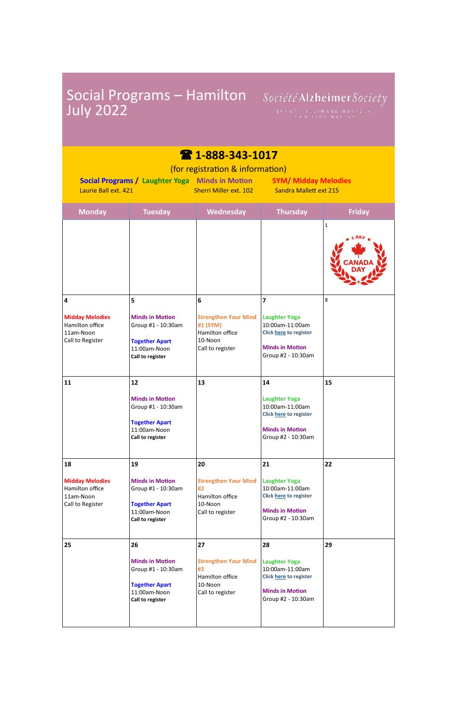| <b>July 2022</b>                                                                                                                                                                                                                         | Social Programs - Hamilton                                                                                      | Société Alzheimer Society<br>BRANT, HALDIMAND NORFOLK,<br>HAMILTON HALTON                         |                                                                                                                         |               |  |  |
|------------------------------------------------------------------------------------------------------------------------------------------------------------------------------------------------------------------------------------------|-----------------------------------------------------------------------------------------------------------------|---------------------------------------------------------------------------------------------------|-------------------------------------------------------------------------------------------------------------------------|---------------|--|--|
| 28 1-888-343-1017<br>(for registration & information)<br><b>Social Programs / Laughter Yoga Minds in Motion</b><br><b>SYM/ Midday Melodies</b><br><b>Sandra Mallett ext 215</b><br>Laurie Ball ext. 421<br><b>Sherri Miller ext. 102</b> |                                                                                                                 |                                                                                                   |                                                                                                                         |               |  |  |
| <b>Monday</b>                                                                                                                                                                                                                            | <b>Tuesday</b>                                                                                                  | Wednesday                                                                                         | <b>Thursday</b>                                                                                                         | <b>Friday</b> |  |  |
|                                                                                                                                                                                                                                          |                                                                                                                 |                                                                                                   |                                                                                                                         | 1             |  |  |
| 4<br><b>Midday Melodies</b><br>Hamilton office<br>11am-Noon<br>Call to Register                                                                                                                                                          | 5<br><b>Minds in Motion</b><br>Group #1 - 10:30am<br><b>Together Apart</b><br>11:00am-Noon<br>Call to register  | 6<br><b>Strengthen Your Mind</b><br>#1 (SYM)<br>Hamilton office<br>$10-N$ oon<br>Call to register | 7<br><b>Laughter Yoga</b><br>10:00am-11:00am<br>Click here to register<br><b>Minds in Motion</b><br>Group #2 - 10:30am  | 8             |  |  |
| 11                                                                                                                                                                                                                                       | 12<br><b>Minds in Motion</b><br>Group #1 - 10:30am<br><b>Together Apart</b><br>11:00am-Noon<br>Call to register | 13                                                                                                | 14<br><b>Laughter Yoga</b><br>10:00am-11:00am<br>Click here to register<br><b>Minds in Motion</b><br>Group #2 - 10:30am | 15            |  |  |
| 18<br><b>Midday Melodies</b><br>Hamilton office<br>11am-Noon<br>Call to Register                                                                                                                                                         | 19<br><b>Minds in Motion</b><br>Group #1 - 10:30am<br><b>Together Apart</b><br>11:00am-Noon<br>Call to register | 20<br><b>Strengthen Your Mind</b><br>#2<br>Hamilton office<br>10-Noon<br>Call to register         | 21<br><b>Laughter Yoga</b><br>10:00am-11:00am<br>Click here to register<br><b>Minds in Motion</b><br>Group #2 - 10:30am | 22            |  |  |

|    | <b>IL.UUdIII-INUUII</b><br>Call to register | Call to register            | Group #2 - 10:30am                               |    |
|----|---------------------------------------------|-----------------------------|--------------------------------------------------|----|
| 25 | 26                                          | 27                          | 28                                               | 29 |
|    | <b>Minds in Motion</b>                      | <b>Strengthen Your Mind</b> | <b>Laughter Yoga</b>                             |    |
|    | Group #1 - 10:30am                          | #3<br>Hamilton office       | 10:00am-11:00am<br><b>Click here to register</b> |    |
|    | <b>Together Apart</b>                       | 10-Noon                     |                                                  |    |
|    | 11:00am-Noon<br>Call to register            | Call to register            | <b>Minds in Motion</b><br>Group #2 - 10:30am     |    |
|    |                                             |                             |                                                  |    |
|    |                                             |                             |                                                  |    |